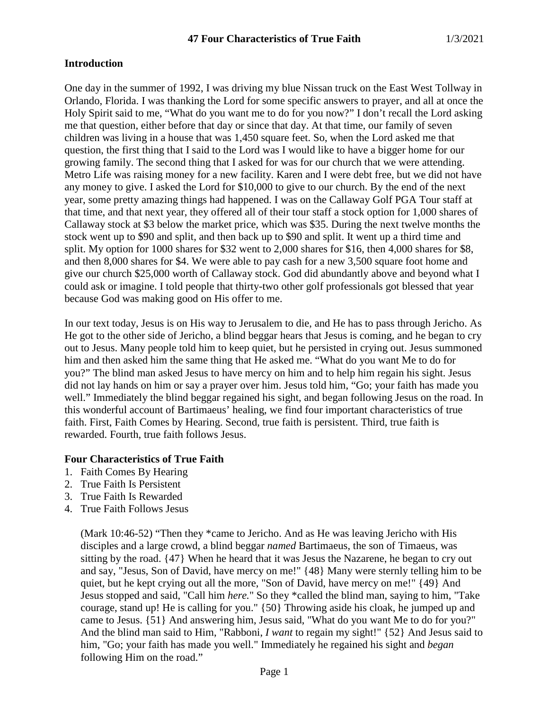### **Introduction**

One day in the summer of 1992, I was driving my blue Nissan truck on the East West Tollway in Orlando, Florida. I was thanking the Lord for some specific answers to prayer, and all at once the Holy Spirit said to me, "What do you want me to do for you now?" I don't recall the Lord asking me that question, either before that day or since that day. At that time, our family of seven children was living in a house that was 1,450 square feet. So, when the Lord asked me that question, the first thing that I said to the Lord was I would like to have a bigger home for our growing family. The second thing that I asked for was for our church that we were attending. Metro Life was raising money for a new facility. Karen and I were debt free, but we did not have any money to give. I asked the Lord for \$10,000 to give to our church. By the end of the next year, some pretty amazing things had happened. I was on the Callaway Golf PGA Tour staff at that time, and that next year, they offered all of their tour staff a stock option for 1,000 shares of Callaway stock at \$3 below the market price, which was \$35. During the next twelve months the stock went up to \$90 and split, and then back up to \$90 and split. It went up a third time and split. My option for 1000 shares for \$32 went to 2,000 shares for \$16, then 4,000 shares for \$8, and then 8,000 shares for \$4. We were able to pay cash for a new 3,500 square foot home and give our church \$25,000 worth of Callaway stock. God did abundantly above and beyond what I could ask or imagine. I told people that thirty-two other golf professionals got blessed that year because God was making good on His offer to me.

In our text today, Jesus is on His way to Jerusalem to die, and He has to pass through Jericho. As He got to the other side of Jericho, a blind beggar hears that Jesus is coming, and he began to cry out to Jesus. Many people told him to keep quiet, but he persisted in crying out. Jesus summoned him and then asked him the same thing that He asked me. "What do you want Me to do for you?" The blind man asked Jesus to have mercy on him and to help him regain his sight. Jesus did not lay hands on him or say a prayer over him. Jesus told him, "Go; your faith has made you well." Immediately the blind beggar regained his sight, and began following Jesus on the road. In this wonderful account of Bartimaeus' healing, we find four important characteristics of true faith. First, Faith Comes by Hearing. Second, true faith is persistent. Third, true faith is rewarded. Fourth, true faith follows Jesus.

#### **Four Characteristics of True Faith**

- 1. Faith Comes By Hearing
- 2. True Faith Is Persistent
- 3. True Faith Is Rewarded
- 4. True Faith Follows Jesus

(Mark 10:46-52) "Then they \*came to Jericho. And as He was leaving Jericho with His disciples and a large crowd, a blind beggar *named* Bartimaeus, the son of Timaeus, was sitting by the road. {47} When he heard that it was Jesus the Nazarene, he began to cry out and say, "Jesus, Son of David, have mercy on me!" {48} Many were sternly telling him to be quiet, but he kept crying out all the more, "Son of David, have mercy on me!" {49} And Jesus stopped and said, "Call him *here.*" So they \*called the blind man, saying to him, "Take courage, stand up! He is calling for you." {50} Throwing aside his cloak, he jumped up and came to Jesus. {51} And answering him, Jesus said, "What do you want Me to do for you?" And the blind man said to Him, "Rabboni, *I want* to regain my sight!" {52} And Jesus said to him, "Go; your faith has made you well." Immediately he regained his sight and *began* following Him on the road."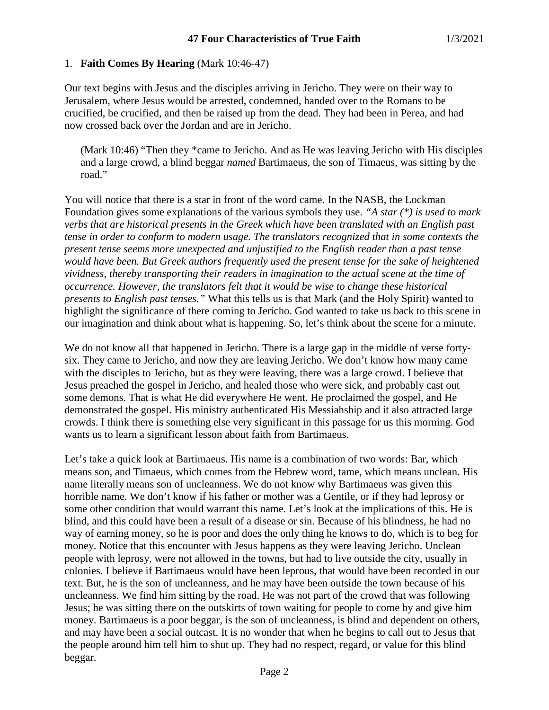## 1. **Faith Comes By Hearing** (Mark 10:46-47)

Our text begins with Jesus and the disciples arriving in Jericho. They were on their way to Jerusalem, where Jesus would be arrested, condemned, handed over to the Romans to be crucified, be crucified, and then be raised up from the dead. They had been in Perea, and had now crossed back over the Jordan and are in Jericho.

(Mark 10:46) "Then they \*came to Jericho. And as He was leaving Jericho with His disciples and a large crowd, a blind beggar *named* Bartimaeus, the son of Timaeus, was sitting by the road."

You will notice that there is a star in front of the word came. In the NASB, the Lockman Foundation gives some explanations of the various symbols they use. *"A star (\*) is used to mark verbs that are historical presents in the Greek which have been translated with an English past tense in order to conform to modern usage. The translators recognized that in some contexts the present tense seems more unexpected and unjustified to the English reader than a past tense would have been. But Greek authors frequently used the present tense for the sake of heightened vividness, thereby transporting their readers in imagination to the actual scene at the time of occurrence. However, the translators felt that it would be wise to change these historical presents to English past tenses."* What this tells us is that Mark (and the Holy Spirit) wanted to highlight the significance of there coming to Jericho. God wanted to take us back to this scene in our imagination and think about what is happening. So, let's think about the scene for a minute.

We do not know all that happened in Jericho. There is a large gap in the middle of verse fortysix. They came to Jericho, and now they are leaving Jericho. We don't know how many came with the disciples to Jericho, but as they were leaving, there was a large crowd. I believe that Jesus preached the gospel in Jericho, and healed those who were sick, and probably cast out some demons. That is what He did everywhere He went. He proclaimed the gospel, and He demonstrated the gospel. His ministry authenticated His Messiahship and it also attracted large crowds. I think there is something else very significant in this passage for us this morning. God wants us to learn a significant lesson about faith from Bartimaeus.

Let's take a quick look at Bartimaeus. His name is a combination of two words: Bar, which means son, and Timaeus, which comes from the Hebrew word, tame, which means unclean. His name literally means son of uncleanness. We do not know why Bartimaeus was given this horrible name. We don't know if his father or mother was a Gentile, or if they had leprosy or some other condition that would warrant this name. Let's look at the implications of this. He is blind, and this could have been a result of a disease or sin. Because of his blindness, he had no way of earning money, so he is poor and does the only thing he knows to do, which is to beg for money. Notice that this encounter with Jesus happens as they were leaving Jericho. Unclean people with leprosy, were not allowed in the towns, but had to live outside the city, usually in colonies. I believe if Bartimaeus would have been leprous, that would have been recorded in our text. But, he is the son of uncleanness, and he may have been outside the town because of his uncleanness. We find him sitting by the road. He was not part of the crowd that was following Jesus; he was sitting there on the outskirts of town waiting for people to come by and give him money. Bartimaeus is a poor beggar, is the son of uncleanness, is blind and dependent on others, and may have been a social outcast. It is no wonder that when he begins to call out to Jesus that the people around him tell him to shut up. They had no respect, regard, or value for this blind beggar.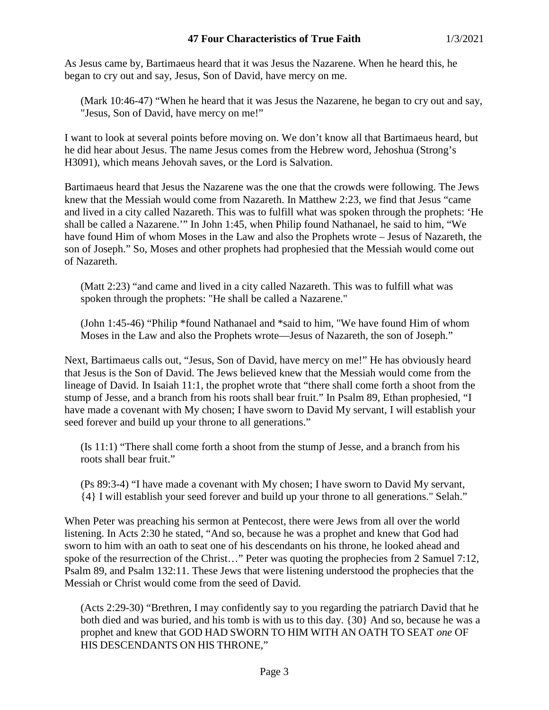## **47 Four Characteristics of True Faith** 1/3/2021

As Jesus came by, Bartimaeus heard that it was Jesus the Nazarene. When he heard this, he began to cry out and say, Jesus, Son of David, have mercy on me.

(Mark 10:46-47) "When he heard that it was Jesus the Nazarene, he began to cry out and say, "Jesus, Son of David, have mercy on me!"

I want to look at several points before moving on. We don't know all that Bartimaeus heard, but he did hear about Jesus. The name Jesus comes from the Hebrew word, Jehoshua (Strong's H3091), which means Jehovah saves, or the Lord is Salvation.

Bartimaeus heard that Jesus the Nazarene was the one that the crowds were following. The Jews knew that the Messiah would come from Nazareth. In Matthew 2:23, we find that Jesus "came and lived in a city called Nazareth. This was to fulfill what was spoken through the prophets: 'He shall be called a Nazarene.'" In John 1:45, when Philip found Nathanael, he said to him, "We have found Him of whom Moses in the Law and also the Prophets wrote – Jesus of Nazareth, the son of Joseph." So, Moses and other prophets had prophesied that the Messiah would come out of Nazareth.

(Matt 2:23) "and came and lived in a city called Nazareth. This was to fulfill what was spoken through the prophets: "He shall be called a Nazarene."

(John 1:45-46) "Philip \*found Nathanael and \*said to him, "We have found Him of whom Moses in the Law and also the Prophets wrote—Jesus of Nazareth, the son of Joseph."

Next, Bartimaeus calls out, "Jesus, Son of David, have mercy on me!" He has obviously heard that Jesus is the Son of David. The Jews believed knew that the Messiah would come from the lineage of David. In Isaiah 11:1, the prophet wrote that "there shall come forth a shoot from the stump of Jesse, and a branch from his roots shall bear fruit." In Psalm 89, Ethan prophesied, "I have made a covenant with My chosen; I have sworn to David My servant, I will establish your seed forever and build up your throne to all generations."

(Is 11:1) "There shall come forth a shoot from the stump of Jesse, and a branch from his roots shall bear fruit."

(Ps 89:3-4) "I have made a covenant with My chosen; I have sworn to David My servant, {4} I will establish your seed forever and build up your throne to all generations." Selah."

When Peter was preaching his sermon at Pentecost, there were Jews from all over the world listening. In Acts 2:30 he stated, "And so, because he was a prophet and knew that God had sworn to him with an oath to seat one of his descendants on his throne, he looked ahead and spoke of the resurrection of the Christ..." Peter was quoting the prophecies from 2 Samuel 7:12, Psalm 89, and Psalm 132:11. These Jews that were listening understood the prophecies that the Messiah or Christ would come from the seed of David.

(Acts 2:29-30) "Brethren, I may confidently say to you regarding the patriarch David that he both died and was buried, and his tomb is with us to this day. {30} And so, because he was a prophet and knew that GOD HAD SWORN TO HIM WITH AN OATH TO SEAT *one* OF HIS DESCENDANTS ON HIS THRONE,"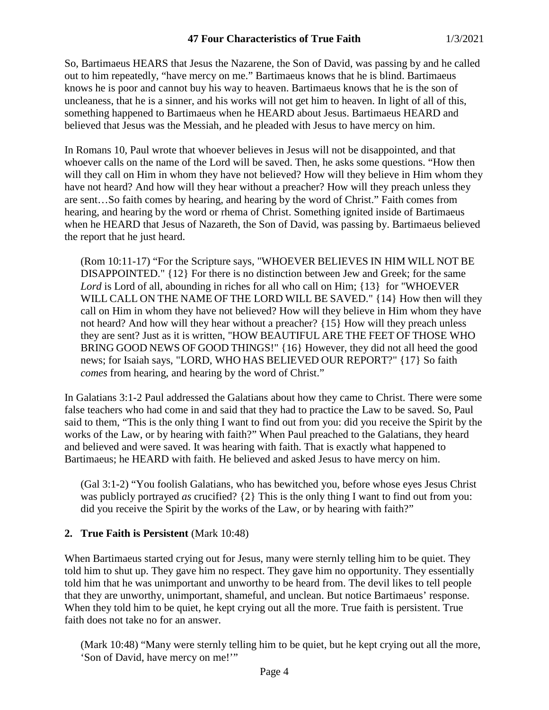So, Bartimaeus HEARS that Jesus the Nazarene, the Son of David, was passing by and he called out to him repeatedly, "have mercy on me." Bartimaeus knows that he is blind. Bartimaeus knows he is poor and cannot buy his way to heaven. Bartimaeus knows that he is the son of uncleaness, that he is a sinner, and his works will not get him to heaven. In light of all of this, something happened to Bartimaeus when he HEARD about Jesus. Bartimaeus HEARD and believed that Jesus was the Messiah, and he pleaded with Jesus to have mercy on him.

In Romans 10, Paul wrote that whoever believes in Jesus will not be disappointed, and that whoever calls on the name of the Lord will be saved. Then, he asks some questions. "How then will they call on Him in whom they have not believed? How will they believe in Him whom they have not heard? And how will they hear without a preacher? How will they preach unless they are sent…So faith comes by hearing, and hearing by the word of Christ." Faith comes from hearing, and hearing by the word or rhema of Christ. Something ignited inside of Bartimaeus when he HEARD that Jesus of Nazareth, the Son of David, was passing by. Bartimaeus believed the report that he just heard.

(Rom 10:11-17) "For the Scripture says, "WHOEVER BELIEVES IN HIM WILL NOT BE DISAPPOINTED." {12} For there is no distinction between Jew and Greek; for the same Lord is Lord of all, abounding in riches for all who call on Him; {13} for "WHOEVER" WILL CALL ON THE NAME OF THE LORD WILL BE SAVED." {14} How then will they call on Him in whom they have not believed? How will they believe in Him whom they have not heard? And how will they hear without a preacher? {15} How will they preach unless they are sent? Just as it is written, "HOW BEAUTIFUL ARE THE FEET OF THOSE WHO BRING GOOD NEWS OF GOOD THINGS!" {16} However, they did not all heed the good news; for Isaiah says, "LORD, WHO HAS BELIEVED OUR REPORT?" {17} So faith *comes* from hearing, and hearing by the word of Christ."

In Galatians 3:1-2 Paul addressed the Galatians about how they came to Christ. There were some false teachers who had come in and said that they had to practice the Law to be saved. So, Paul said to them, "This is the only thing I want to find out from you: did you receive the Spirit by the works of the Law, or by hearing with faith?" When Paul preached to the Galatians, they heard and believed and were saved. It was hearing with faith. That is exactly what happened to Bartimaeus; he HEARD with faith. He believed and asked Jesus to have mercy on him.

(Gal 3:1-2) "You foolish Galatians, who has bewitched you, before whose eyes Jesus Christ was publicly portrayed *as* crucified? {2} This is the only thing I want to find out from you: did you receive the Spirit by the works of the Law, or by hearing with faith?"

#### **2. True Faith is Persistent** (Mark 10:48)

When Bartimaeus started crying out for Jesus, many were sternly telling him to be quiet. They told him to shut up. They gave him no respect. They gave him no opportunity. They essentially told him that he was unimportant and unworthy to be heard from. The devil likes to tell people that they are unworthy, unimportant, shameful, and unclean. But notice Bartimaeus' response. When they told him to be quiet, he kept crying out all the more. True faith is persistent. True faith does not take no for an answer.

(Mark 10:48) "Many were sternly telling him to be quiet, but he kept crying out all the more, 'Son of David, have mercy on me!'"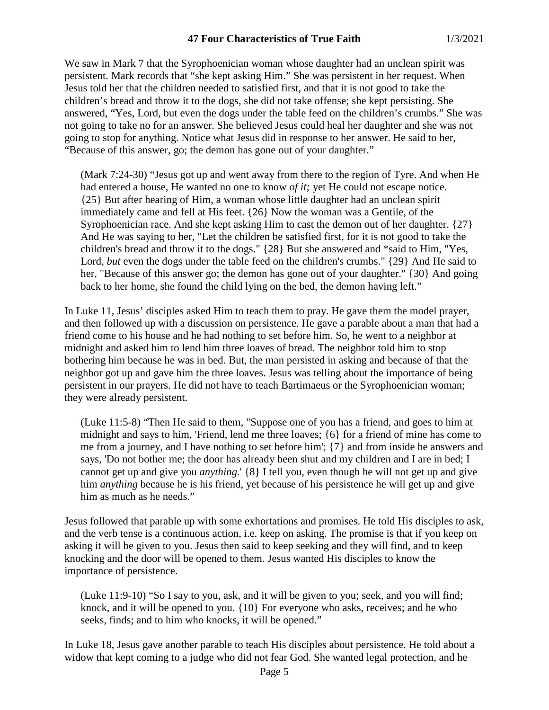We saw in Mark 7 that the Syrophoenician woman whose daughter had an unclean spirit was persistent. Mark records that "she kept asking Him." She was persistent in her request. When Jesus told her that the children needed to satisfied first, and that it is not good to take the children's bread and throw it to the dogs, she did not take offense; she kept persisting. She answered, "Yes, Lord, but even the dogs under the table feed on the children's crumbs." She was not going to take no for an answer. She believed Jesus could heal her daughter and she was not going to stop for anything. Notice what Jesus did in response to her answer. He said to her, "Because of this answer, go; the demon has gone out of your daughter."

(Mark 7:24-30) "Jesus got up and went away from there to the region of Tyre. And when He had entered a house, He wanted no one to know *of it;* yet He could not escape notice. {25} But after hearing of Him, a woman whose little daughter had an unclean spirit immediately came and fell at His feet. {26} Now the woman was a Gentile, of the Syrophoenician race. And she kept asking Him to cast the demon out of her daughter. {27} And He was saying to her, "Let the children be satisfied first, for it is not good to take the children's bread and throw it to the dogs." {28} But she answered and \*said to Him, "Yes, Lord, *but* even the dogs under the table feed on the children's crumbs." {29} And He said to her, "Because of this answer go; the demon has gone out of your daughter." {30} And going back to her home, she found the child lying on the bed, the demon having left."

In Luke 11, Jesus' disciples asked Him to teach them to pray. He gave them the model prayer, and then followed up with a discussion on persistence. He gave a parable about a man that had a friend come to his house and he had nothing to set before him. So, he went to a neighbor at midnight and asked him to lend him three loaves of bread. The neighbor told him to stop bothering him because he was in bed. But, the man persisted in asking and because of that the neighbor got up and gave him the three loaves. Jesus was telling about the importance of being persistent in our prayers. He did not have to teach Bartimaeus or the Syrophoenician woman; they were already persistent.

(Luke 11:5-8) "Then He said to them, "Suppose one of you has a friend, and goes to him at midnight and says to him, 'Friend, lend me three loaves; {6} for a friend of mine has come to me from a journey, and I have nothing to set before him'; {7} and from inside he answers and says, 'Do not bother me; the door has already been shut and my children and I are in bed; I cannot get up and give you *anything.*' {8} I tell you, even though he will not get up and give him *anything* because he is his friend, yet because of his persistence he will get up and give him as much as he needs."

Jesus followed that parable up with some exhortations and promises. He told His disciples to ask, and the verb tense is a continuous action, i.e. keep on asking. The promise is that if you keep on asking it will be given to you. Jesus then said to keep seeking and they will find, and to keep knocking and the door will be opened to them. Jesus wanted His disciples to know the importance of persistence.

(Luke 11:9-10) "So I say to you, ask, and it will be given to you; seek, and you will find; knock, and it will be opened to you. {10} For everyone who asks, receives; and he who seeks, finds; and to him who knocks, it will be opened."

In Luke 18, Jesus gave another parable to teach His disciples about persistence. He told about a widow that kept coming to a judge who did not fear God. She wanted legal protection, and he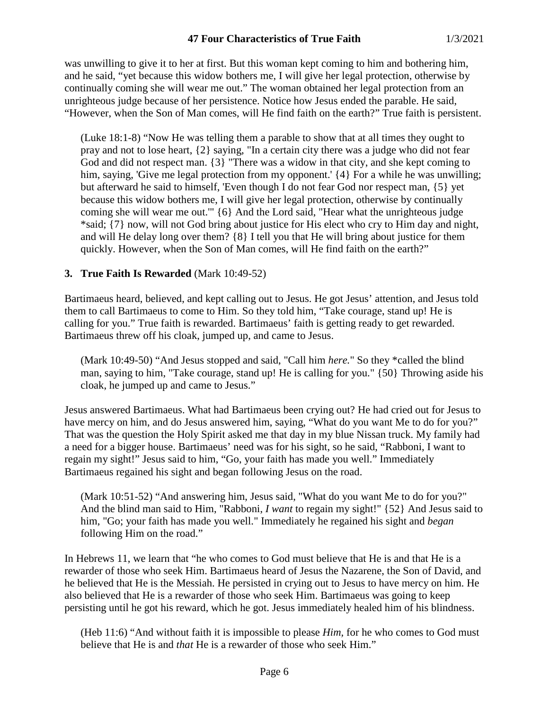was unwilling to give it to her at first. But this woman kept coming to him and bothering him, and he said, "yet because this widow bothers me, I will give her legal protection, otherwise by continually coming she will wear me out." The woman obtained her legal protection from an unrighteous judge because of her persistence. Notice how Jesus ended the parable. He said, "However, when the Son of Man comes, will He find faith on the earth?" True faith is persistent.

(Luke 18:1-8) "Now He was telling them a parable to show that at all times they ought to pray and not to lose heart, {2} saying, "In a certain city there was a judge who did not fear God and did not respect man. {3} "There was a widow in that city, and she kept coming to him, saying, 'Give me legal protection from my opponent.' {4} For a while he was unwilling; but afterward he said to himself, 'Even though I do not fear God nor respect man, {5} yet because this widow bothers me, I will give her legal protection, otherwise by continually coming she will wear me out.'" {6} And the Lord said, "Hear what the unrighteous judge \*said; {7} now, will not God bring about justice for His elect who cry to Him day and night, and will He delay long over them? {8} I tell you that He will bring about justice for them quickly. However, when the Son of Man comes, will He find faith on the earth?"

### **3. True Faith Is Rewarded** (Mark 10:49-52)

Bartimaeus heard, believed, and kept calling out to Jesus. He got Jesus' attention, and Jesus told them to call Bartimaeus to come to Him. So they told him, "Take courage, stand up! He is calling for you." True faith is rewarded. Bartimaeus' faith is getting ready to get rewarded. Bartimaeus threw off his cloak, jumped up, and came to Jesus.

(Mark 10:49-50) "And Jesus stopped and said, "Call him *here.*" So they \*called the blind man, saying to him, "Take courage, stand up! He is calling for you." {50} Throwing aside his cloak, he jumped up and came to Jesus."

Jesus answered Bartimaeus. What had Bartimaeus been crying out? He had cried out for Jesus to have mercy on him, and do Jesus answered him, saying, "What do you want Me to do for you?" That was the question the Holy Spirit asked me that day in my blue Nissan truck. My family had a need for a bigger house. Bartimaeus' need was for his sight, so he said, "Rabboni, I want to regain my sight!" Jesus said to him, "Go, your faith has made you well." Immediately Bartimaeus regained his sight and began following Jesus on the road.

(Mark 10:51-52) "And answering him, Jesus said, "What do you want Me to do for you?" And the blind man said to Him, "Rabboni, *I want* to regain my sight!" {52} And Jesus said to him, "Go; your faith has made you well." Immediately he regained his sight and *began* following Him on the road."

In Hebrews 11, we learn that "he who comes to God must believe that He is and that He is a rewarder of those who seek Him. Bartimaeus heard of Jesus the Nazarene, the Son of David, and he believed that He is the Messiah. He persisted in crying out to Jesus to have mercy on him. He also believed that He is a rewarder of those who seek Him. Bartimaeus was going to keep persisting until he got his reward, which he got. Jesus immediately healed him of his blindness.

(Heb 11:6) "And without faith it is impossible to please *Him,* for he who comes to God must believe that He is and *that* He is a rewarder of those who seek Him."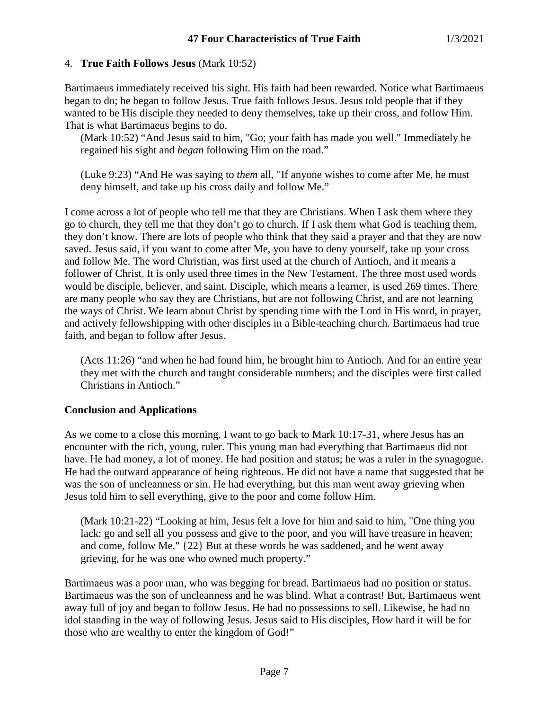## 4. **True Faith Follows Jesus** (Mark 10:52)

Bartimaeus immediately received his sight. His faith had been rewarded. Notice what Bartimaeus began to do; he began to follow Jesus. True faith follows Jesus. Jesus told people that if they wanted to be His disciple they needed to deny themselves, take up their cross, and follow Him. That is what Bartimaeus begins to do.

(Mark 10:52) "And Jesus said to him, "Go; your faith has made you well." Immediately he regained his sight and *began* following Him on the road."

(Luke 9:23) "And He was saying to *them* all, "If anyone wishes to come after Me, he must deny himself, and take up his cross daily and follow Me."

I come across a lot of people who tell me that they are Christians. When I ask them where they go to church, they tell me that they don't go to church. If I ask them what God is teaching them, they don't know. There are lots of people who think that they said a prayer and that they are now saved. Jesus said, if you want to come after Me, you have to deny yourself, take up your cross and follow Me. The word Christian, was first used at the church of Antioch, and it means a follower of Christ. It is only used three times in the New Testament. The three most used words would be disciple, believer, and saint. Disciple, which means a learner, is used 269 times. There are many people who say they are Christians, but are not following Christ, and are not learning the ways of Christ. We learn about Christ by spending time with the Lord in His word, in prayer, and actively fellowshipping with other disciples in a Bible-teaching church. Bartimaeus had true faith, and began to follow after Jesus.

(Acts 11:26) "and when he had found him, he brought him to Antioch. And for an entire year they met with the church and taught considerable numbers; and the disciples were first called Christians in Antioch."

# **Conclusion and Applications**

As we come to a close this morning, I want to go back to Mark 10:17-31, where Jesus has an encounter with the rich, young, ruler. This young man had everything that Bartimaeus did not have. He had money, a lot of money. He had position and status; he was a ruler in the synagogue. He had the outward appearance of being righteous. He did not have a name that suggested that he was the son of uncleanness or sin. He had everything, but this man went away grieving when Jesus told him to sell everything, give to the poor and come follow Him.

(Mark 10:21-22) "Looking at him, Jesus felt a love for him and said to him, "One thing you lack: go and sell all you possess and give to the poor, and you will have treasure in heaven; and come, follow Me." {22} But at these words he was saddened, and he went away grieving, for he was one who owned much property."

Bartimaeus was a poor man, who was begging for bread. Bartimaeus had no position or status. Bartimaeus was the son of uncleanness and he was blind. What a contrast! But, Bartimaeus went away full of joy and began to follow Jesus. He had no possessions to sell. Likewise, he had no idol standing in the way of following Jesus. Jesus said to His disciples, How hard it will be for those who are wealthy to enter the kingdom of God!"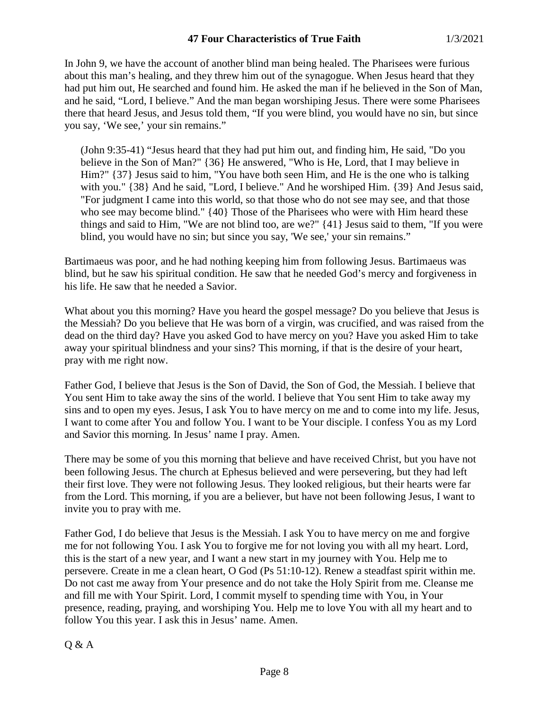In John 9, we have the account of another blind man being healed. The Pharisees were furious about this man's healing, and they threw him out of the synagogue. When Jesus heard that they had put him out, He searched and found him. He asked the man if he believed in the Son of Man, and he said, "Lord, I believe." And the man began worshiping Jesus. There were some Pharisees there that heard Jesus, and Jesus told them, "If you were blind, you would have no sin, but since you say, 'We see,' your sin remains."

(John 9:35-41) "Jesus heard that they had put him out, and finding him, He said, "Do you believe in the Son of Man?" {36} He answered, "Who is He, Lord, that I may believe in Him?" {37} Jesus said to him, "You have both seen Him, and He is the one who is talking with you." {38} And he said, "Lord, I believe." And he worshiped Him. {39} And Jesus said, "For judgment I came into this world, so that those who do not see may see, and that those who see may become blind." {40} Those of the Pharisees who were with Him heard these things and said to Him, "We are not blind too, are we?" {41} Jesus said to them, "If you were blind, you would have no sin; but since you say, 'We see,' your sin remains."

Bartimaeus was poor, and he had nothing keeping him from following Jesus. Bartimaeus was blind, but he saw his spiritual condition. He saw that he needed God's mercy and forgiveness in his life. He saw that he needed a Savior.

What about you this morning? Have you heard the gospel message? Do you believe that Jesus is the Messiah? Do you believe that He was born of a virgin, was crucified, and was raised from the dead on the third day? Have you asked God to have mercy on you? Have you asked Him to take away your spiritual blindness and your sins? This morning, if that is the desire of your heart, pray with me right now.

Father God, I believe that Jesus is the Son of David, the Son of God, the Messiah. I believe that You sent Him to take away the sins of the world. I believe that You sent Him to take away my sins and to open my eyes. Jesus, I ask You to have mercy on me and to come into my life. Jesus, I want to come after You and follow You. I want to be Your disciple. I confess You as my Lord and Savior this morning. In Jesus' name I pray. Amen.

There may be some of you this morning that believe and have received Christ, but you have not been following Jesus. The church at Ephesus believed and were persevering, but they had left their first love. They were not following Jesus. They looked religious, but their hearts were far from the Lord. This morning, if you are a believer, but have not been following Jesus, I want to invite you to pray with me.

Father God, I do believe that Jesus is the Messiah. I ask You to have mercy on me and forgive me for not following You. I ask You to forgive me for not loving you with all my heart. Lord, this is the start of a new year, and I want a new start in my journey with You. Help me to persevere. Create in me a clean heart, O God (Ps 51:10-12). Renew a steadfast spirit within me. Do not cast me away from Your presence and do not take the Holy Spirit from me. Cleanse me and fill me with Your Spirit. Lord, I commit myself to spending time with You, in Your presence, reading, praying, and worshiping You. Help me to love You with all my heart and to follow You this year. I ask this in Jesus' name. Amen.